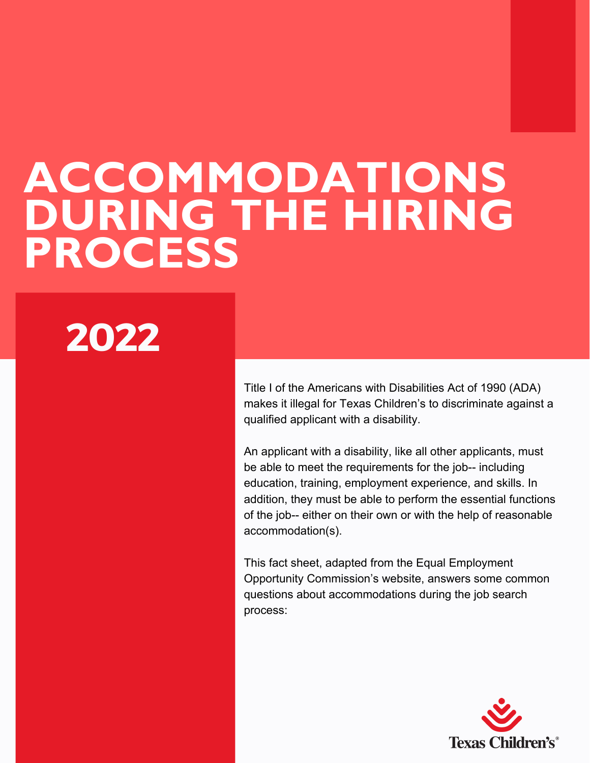# ACCOMMODATIONS DURING THE HIRING PROCESS

# **2022**

Title I of the Americans with Disabilities Act of 1990 (ADA) makes it illegal for Texas Children's to discriminate against a qualified applicant with a disability.

An applicant with a disability, like all other applicants, must be able to meet the requirements for the job-- including education, training, employment experience, and skills. In addition, they must be able to perform the essential functions of the job-- either on their own or with the help of reasonable accommodation(s).

This fact sheet, adapted from the Equal Employment Opportunity Commission's website, answers some common questions about accommodations during the job search process:

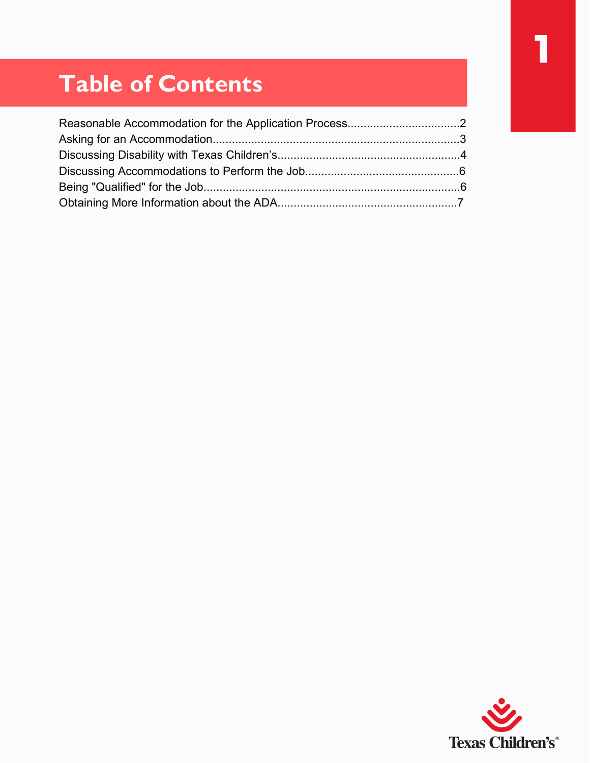# **1**

# Table of Contents

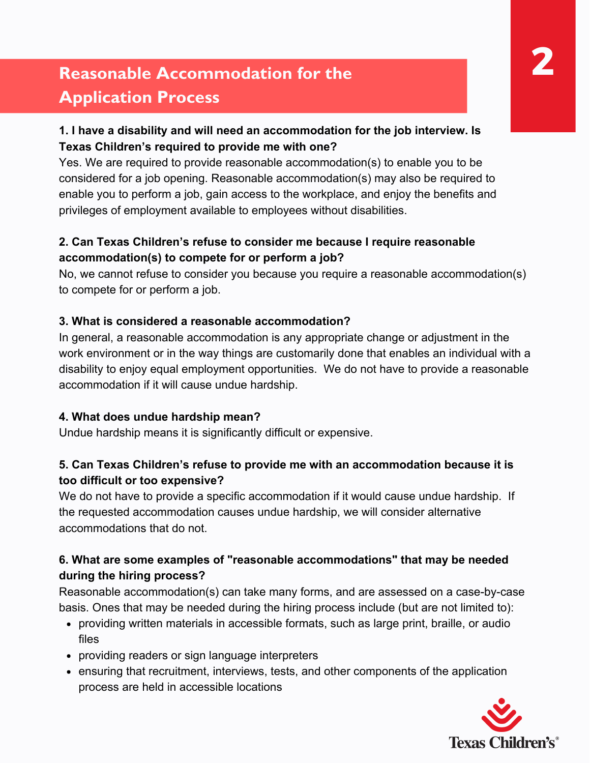# Reasonable Accommodation for the Application Process

# **1. I have a disability and will need an accommodation for the job interview. Is Texas Children's required to provide me with one?**

Yes. We are required to provide reasonable accommodation(s) to enable you to be considered for a job opening. Reasonable accommodation(s) may also be required to enable you to perform a job, gain access to the workplace, and enjoy the benefits and privileges of employment available to employees without disabilities.

# **2. Can Texas Children's refuse to consider me because I require reasonable accommodation(s) to compete for or perform a job?**

No, we cannot refuse to consider you because you require a reasonable accommodation(s) to compete for or perform a job.

### **3. What is considered a reasonable accommodation?**

In general, a reasonable accommodation is any appropriate change or adjustment in the work environment or in the way things are customarily done that enables an individual with a disability to enjoy equal employment opportunities. We do not have to provide a reasonable accommodation if it will cause undue hardship.

### **4. What does undue hardship mean?**

Undue hardship means it is significantly difficult or expensive.

# **5. Can Texas Children's refuse to provide me with an accommodation because it is too difficult or too expensive?**

We do not have to provide a specific accommodation if it would cause undue hardship. If the requested accommodation causes undue hardship, we will consider alternative accommodations that do not.

# **6. What are some examples of "reasonable accommodations" that may be needed during the hiring process?**

Reasonable accommodation(s) can take many forms, and are assessed on a case-by-case basis. Ones that may be needed during the hiring process include (but are not limited to):

- providing written materials in accessible formats, such as large print, braille, or audio files
- providing readers or sign language interpreters
- ensuring that recruitment, interviews, tests, and other components of the application process are held in accessible locations

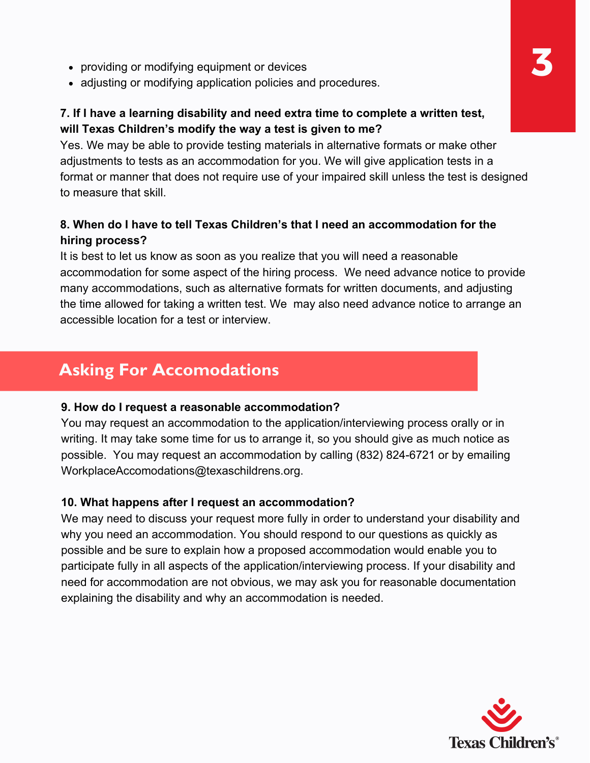- providing or modifying equipment or devices
- adjusting or modifying application policies and procedures.

### **7. If I have a learning disability and need extra time to complete a written test, will Texas Children's modify the way a test is given to me?**

Yes. We may be able to provide testing materials in alternative formats or make other adjustments to tests as an accommodation for you. We will give application tests in a format or manner that does not require use of your impaired skill unless the test is designed to measure that skill.

# **8. When do I have to tell Texas Children's that I need an accommodation for the hiring process?**

It is best to let us know as soon as you realize that you will need a reasonable accommodation for some aspect of the hiring process. We need advance notice to provide many accommodations, such as alternative formats for written documents, and adjusting the time allowed for taking a written test. We may also need advance notice to arrange an accessible location for a test or interview.

# Asking For Accomodations

#### **9. How do I request a reasonable accommodation?**

You may request an accommodation to the application/interviewing process orally or in writing. It may take some time for us to arrange it, so you should give as much notice as possible. You may request an accommodation by calling (832) 824-6721 or by emailing WorkplaceAccomodations@texaschildrens.org.

#### **10. What happens after I request an accommodation?**

We may need to discuss your request more fully in order to understand your disability and why you need an accommodation. You should respond to our questions as quickly as possible and be sure to explain how a proposed accommodation would enable you to participate fully in all aspects of the application/interviewing process. If your disability and need for accommodation are not obvious, we may ask you for reasonable documentation explaining the disability and why an accommodation is needed.

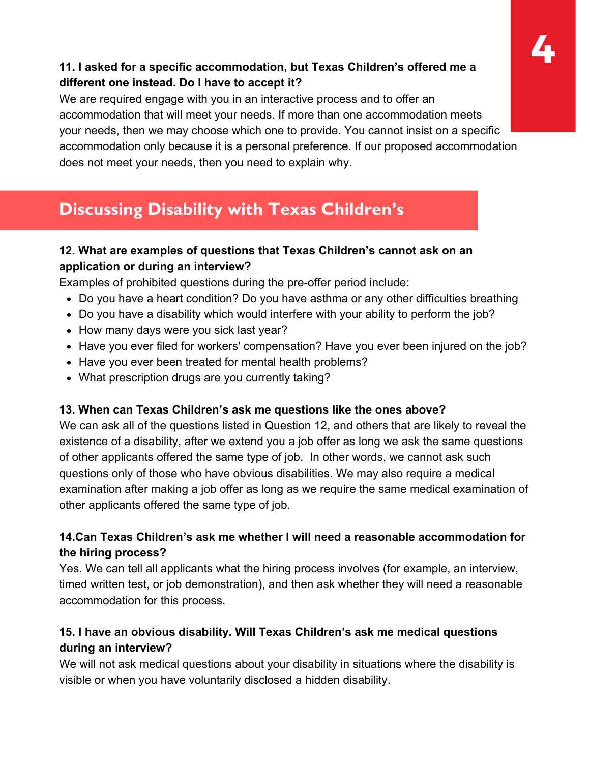# **11. I asked for a specific accommodation, but Texas Children's offered me a 4 different one instead. Do I have to accept it?**

We are required engage with you in an interactive process and to offer an accommodation that will meet your needs. If more than one accommodation meets your needs, then we may choose which one to provide. You cannot insist on a specific accommodation only because it is a personal preference. If our proposed accommodation does not meet your needs, then you need to explain why.

# Discussing Disability with Texas Children's

# **12. What are examples of questions that Texas Children's cannot ask on an application or during an interview?**

Examples of prohibited questions during the pre-offer period include:

- Do you have a heart condition? Do you have asthma or any other difficulties breathing
- Do you have a disability which would interfere with your ability to perform the job?
- How many days were you sick last year?
- Have you ever filed for workers' compensation? Have you ever been injured on the job?
- Have you ever been treated for mental health problems?
- What prescription drugs are you currently taking?

# **13. When can Texas Children's ask me questions like the ones above?**

We can ask all of the questions listed in Question 12, and others that are likely to reveal the existence of a disability, after we extend you a job offer as long we ask the same questions of other applicants offered the same type of job. In other words, we cannot ask such questions only of those who have obvious disabilities. We may also require a medical examination after making a job offer as long as we require the same medical examination of other applicants offered the same type of job.

# **14.Can Texas Children's ask me whether I will need a reasonable accommodation for the hiring process?**

Yes. We can tell all applicants what the hiring process involves (for example, an interview, timed written test, or job demonstration), and then ask whether they will need a reasonable accommodation for this process.

# **15. I have an obvious disability. Will Texas Children's ask me medical questions during an interview?**

We will not ask medical questions about your disability in situations where the disability is visible or when you have voluntarily disclosed a hidden disability.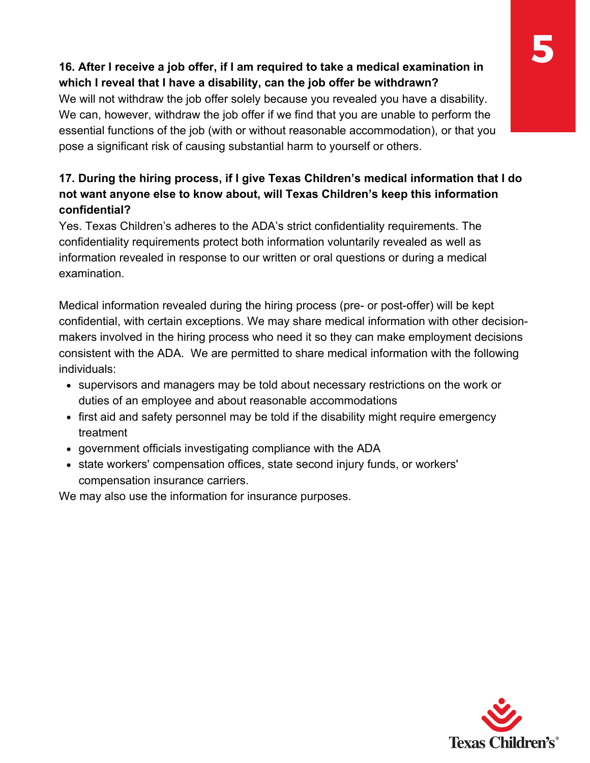# **16. After I receive a job offer, if I am required to take a medical examination in which I reveal that I have a disability, can the job offer be withdrawn?**

We will not withdraw the job offer solely because you revealed you have a disability. We can, however, withdraw the job offer if we find that you are unable to perform the essential functions of the job (with or without reasonable accommodation), or that you pose a significant risk of causing substantial harm to yourself or others.

# **17. During the hiring process, if I give Texas Children's medical information that I do not want anyone else to know about, will Texas Children's keep this information confidential?**

Yes. Texas Children's adheres to the ADA's strict confidentiality requirements. The confidentiality requirements protect both information voluntarily revealed as well as information revealed in response to our written or oral questions or during a medical examination.

Medical information revealed during the hiring process (pre- or post-offer) will be kept confidential, with certain exceptions. We may share medical information with other decisionmakers involved in the hiring process who need it so they can make employment decisions consistent with the ADA. We are permitted to share medical information with the following individuals:

- supervisors and managers may be told about necessary restrictions on the work or duties of an employee and about reasonable accommodations
- first aid and safety personnel may be told if the disability might require emergency treatment
- government officials investigating compliance with the ADA
- state workers' compensation offices, state second injury funds, or workers' compensation insurance carriers.

We may also use the information for insurance purposes.

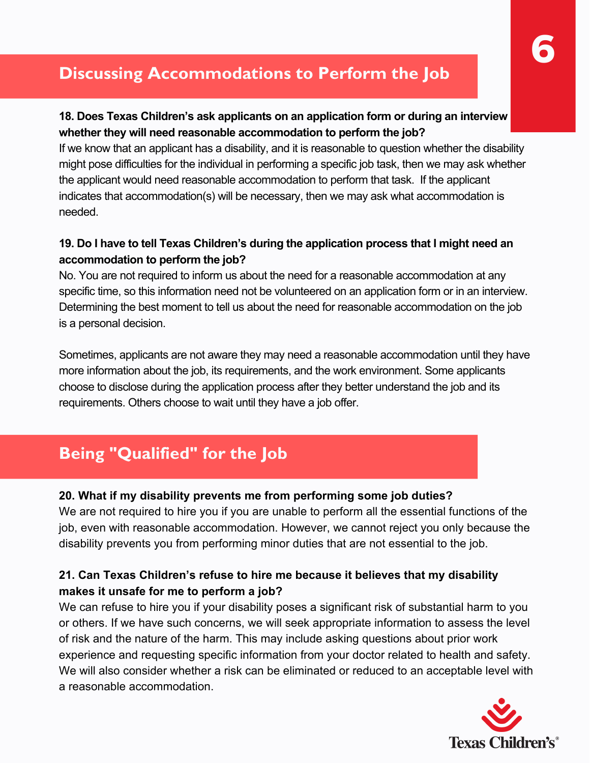# Discussing Accommodations to Perform the Job

### **18. Does Texas Children's ask applicants on an application form or during an interview whether they will need reasonable accommodation to perform the job?**

If we know that an applicant has a disability, and it is reasonable to question whether the disability might pose difficulties for the individual in performing a specific job task, then we may ask whether the applicant would need reasonable accommodation to perform that task. If the applicant indicates that accommodation(s) will be necessary, then we may ask what accommodation is needed.

# **19. Do I have to tell Texas Children's during the application process that I might need an accommodation to perform the job?**

No. You are not required to inform us about the need for a reasonable accommodation at any specific time, so this information need not be volunteered on an application form or in an interview. Determining the best moment to tell us about the need for reasonable accommodation on the job is a personal decision.

Sometimes, applicants are not aware they may need a reasonable accommodation until they have more information about the job, its requirements, and the work environment. Some applicants choose to disclose during the application process after they better understand the job and its requirements. Others choose to wait until they have a job offer.

# Being "Qualified" for the Job

# **20. What if my disability prevents me from performing some job duties?**

We are not required to hire you if you are unable to perform all the essential functions of the job, even with reasonable accommodation. However, we cannot reject you only because the disability prevents you from performing minor duties that are not essential to the job.

# **21. Can Texas Children's refuse to hire me because it believes that my disability makes it unsafe for me to perform a job?**

We can refuse to hire you if your disability poses a significant risk of substantial harm to you or others. If we have such concerns, we will seek appropriate information to assess the level of risk and the nature of the harm. This may include asking questions about prior work experience and requesting specific information from your doctor related to health and safety. We will also consider whether a risk can be eliminated or reduced to an acceptable level with a reasonable accommodation.